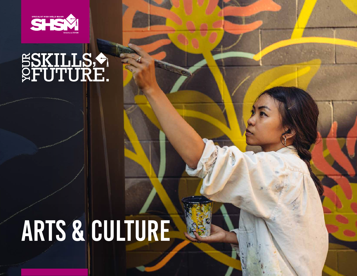

# SSKILLS,

## ARTS & CULTURE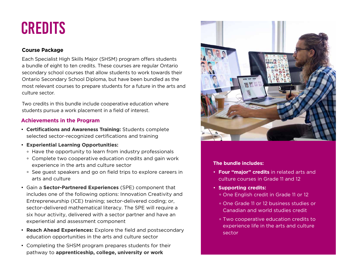### **CREDITS**

#### **Course Package**

Each Specialist High Skills Major (SHSM) program offers students a bundle of eight to ten credits. These courses are regular Ontario secondary school courses that allow students to work towards their Ontario Secondary School Diploma, but have been bundled as the most relevant courses to prepare students for a future in the arts and culture sector.

Two credits in this bundle include cooperative education where students pursue a work placement in a field of interest.

#### **Achievements in the Program**

- **Certifications and Awareness Training:** Students complete selected sector-recognized certifications and training
- **Experiential Learning Opportunities:**
	- Have the opportunity to learn from industry professionals
	- Complete two cooperative education credits and gain work experience in the arts and culture sector
	- See guest speakers and go on field trips to explore careers in arts and culture
- Gain a **Sector-Partnered Experiences** (SPE) component that includes one of the following options: Innovation Creativity and Entrepreneurship (ICE) training; sector-delivered coding; or, sector-delivered mathematical literacy. The SPE will require a six hour activity, delivered with a sector partner and have an experiential and assessment component
- **Reach Ahead Experiences:** Explore the field and postsecondary education opportunities in the arts and culture sector
- Completing the SHSM program prepares students for their pathway to **apprenticeship, college, university or work**



#### **The bundle includes:**

- **Four "major" credits** in related arts and culture courses in Grade 11 and 12
- **Supporting credits:**
	- One English credit in Grade 11 or 12
	- One Grade 11 or 12 business studies or Canadian and world studies credit
	- Two cooperative education credits to experience life in the arts and culture sector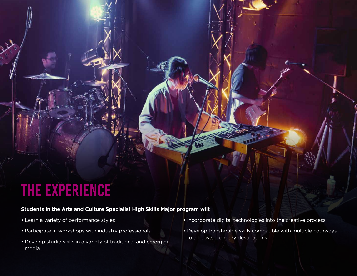## THE EXPERIENCE

#### **Students in the Arts and Culture Specialist High Skills Major program will:**

- Learn a variety of performance styles
- Participate in workshops with industry professionals
- Develop studio skills in a variety of traditional and emerging media
- Incorporate digital technologies into the creative process
- Develop transferable skills compatible with multiple pathways to all postsecondary destinations